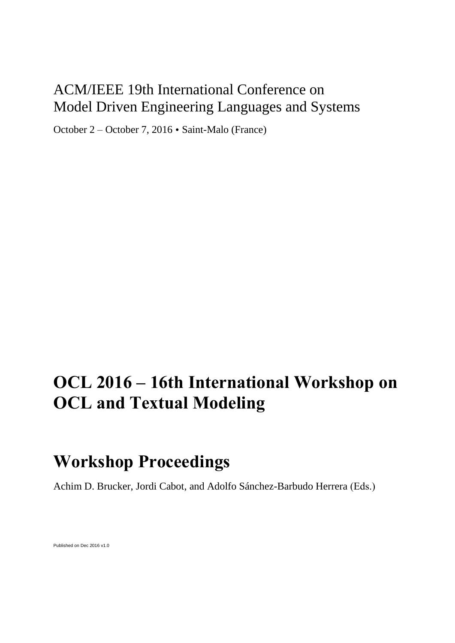## ACM/IEEE 19th International Conference on Model Driven Engineering Languages and Systems

October 2 – October 7, 2016 Saint-Malo (France)

# **OCL 2016 – 16th International Workshop on OCL and Textual Modeling**

## **Workshop Proceedings**

Achim D. Brucker, Jordi Cabot, and Adolfo Sánchez-Barbudo Herrera (Eds.)

Published on Dec 2016 v1.0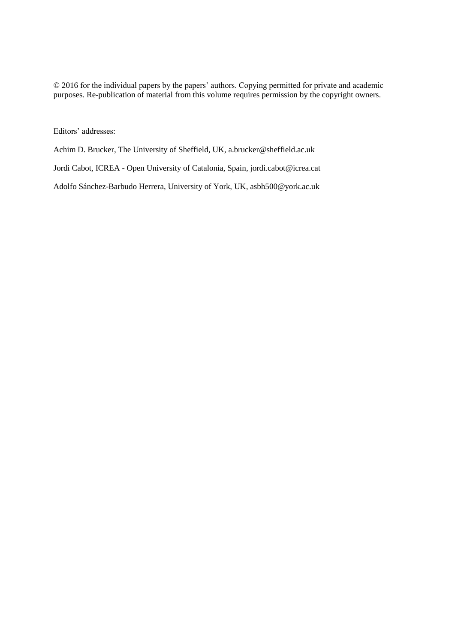© 2016 for the individual papers by the papers' authors. Copying permitted for private and academic purposes. Re-publication of material from this volume requires permission by the copyright owners.

Editors' addresses:

Achim D. Brucker, The University of Sheffield, UK, a.brucker@sheffield.ac.uk

Jordi Cabot, ICREA - Open University of Catalonia, Spain, jordi.cabot@icrea.cat

Adolfo Sánchez-Barbudo Herrera, University of York, UK, asbh500@york.ac.uk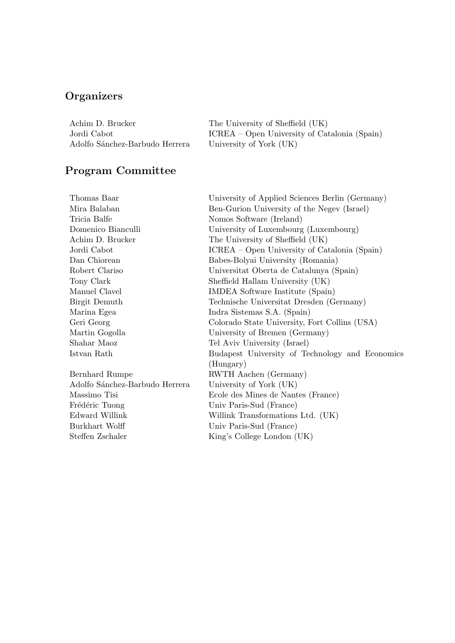## **Organizers**

| Achim D. Brucker               | The University of Sheffield (UK)             |
|--------------------------------|----------------------------------------------|
| Jordi Cabot -                  | ICREA – Open University of Catalonia (Spain) |
| Adolfo Sánchez-Barbudo Herrera | University of York (UK)                      |

### Program Committee

| Thomas Baar                    | University of Applied Sciences Berlin (Germany) |
|--------------------------------|-------------------------------------------------|
| Mira Balaban                   | Ben-Gurion University of the Negev (Israel)     |
| Tricia Balfe                   | Nomos Software (Ireland)                        |
| Domenico Bianculli             | University of Luxembourg (Luxembourg)           |
| Achim D. Brucker               | The University of Sheffield (UK)                |
| Jordi Cabot                    | ICREA – Open University of Catalonia (Spain)    |
| Dan Chiorean                   | Babes-Bolyai University (Romania)               |
| Robert Clariso                 | Universitat Oberta de Catalunya (Spain)         |
| Tony Clark                     | Sheffield Hallam University (UK)                |
| Manuel Clavel                  | IMDEA Software Institute (Spain)                |
| Birgit Demuth                  | Technische Universitat Dresden (Germany)        |
| Marina Egea                    | Indra Sistemas S.A. (Spain)                     |
| Geri Georg                     | Colorado State University, Fort Collins (USA)   |
| Martin Gogolla                 | University of Bremen (Germany)                  |
| Shahar Maoz                    | Tel Aviv University (Israel)                    |
| Istvan Rath                    | Budapest University of Technology and Economics |
|                                | (Hungary)                                       |
| Bernhard Rumpe                 | RWTH Aachen (Germany)                           |
| Adolfo Sánchez-Barbudo Herrera | University of York (UK)                         |
| Massimo Tisi                   | Ecole des Mines de Nantes (France)              |
| Frédéric Tuong                 | Univ Paris-Sud (France)                         |
| Edward Willink                 | Willink Transformations Ltd. (UK)               |
| Burkhart Wolff                 | Univ Paris-Sud (France)                         |
| Steffen Zschaler               | King's College London (UK)                      |
|                                |                                                 |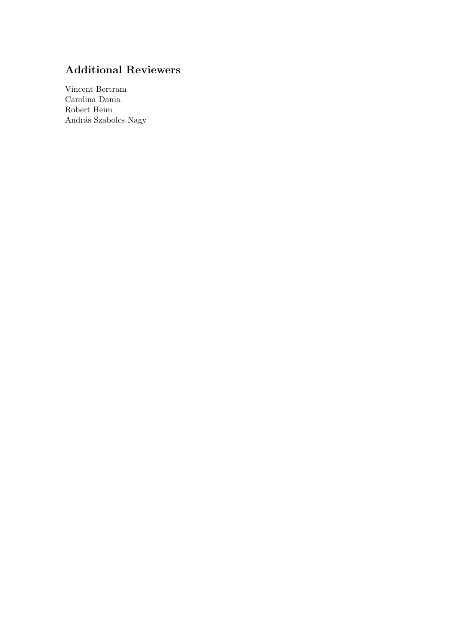#### Additional Reviewers

Vincent Bertram Carolina Dania Robert Heim András Szabolcs Nagy